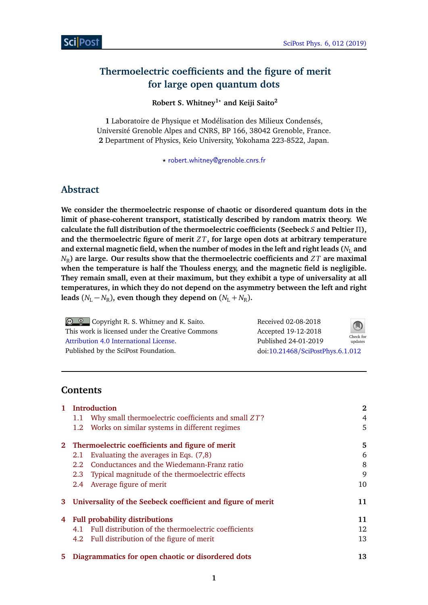# **Thermoelectric coefficients and the figure of merit for large open quantum dots**

## **Robert S. Whitney1***?* **and Keiji Saito<sup>2</sup>**

**1** Laboratoire de Physique et Modélisation des Milieux Condensés, Université Grenoble Alpes and CNRS, BP 166, 38042 Grenoble, France. **2** Department of Physics, Keio University, Yokohama 223-8522, Japan.

*?* [robert.whitney@grenoble.cnrs.fr](mailto:robert.whitney@grenoble.cnrs.fr)

# **Abstract**

**We consider the thermoelectric response of chaotic or disordered quantum dots in the limit of phase-coherent transport, statistically described by random matrix theory. We calculate the full distribution of the thermoelectric coefficients (Seebeck** *S* **and Peltier** *Π***), and the thermoelectric figure of merit** *Z T***, for large open dots at arbitrary temperature** and external magnetic field, when the number of modes in the left and right leads  $(N_L)$  and  $N_R$ ) are large. Our results show that the thermoelectric coefficients and *ZT* are maximal **when the temperature is half the Thouless energy, and the magnetic field is negligible. They remain small, even at their maximum, but they exhibit a type of universality at all temperatures, in which they do not depend on the asymmetry between the left and right leads** ( $N_L - N_R$ ), even though they depend on ( $N_L + N_R$ ).

**C Q Copyright R. S. Whitney and K. Saito.** This work is licensed under the Creative Commons [Attribution 4.0 International License.](http://creativecommons.org/licenses/by/4.0/) Published by the SciPost Foundation.

Received 02-08-2018 Accepted 19-12-2018 Published 24-01-2019 Check for updates doi:10.21468/[SciPostPhys.6.1.012](http://dx.doi.org/10.21468/SciPostPhys.6.1.012)

# **Contents**

| $\mathbf{1}$ | <b>Introduction</b>                                               |    |
|--------------|-------------------------------------------------------------------|----|
|              | Why small thermoelectric coefficients and small ZT?<br>1.1        | 4  |
|              | Works on similar systems in different regimes<br>1.2 <sub>1</sub> | 5. |
|              | 2 Thermoelectric coefficients and figure of merit                 | 5. |
|              | Evaluating the averages in Eqs. (7,8)<br>2.1                      | 6  |
|              | Conductances and the Wiedemann-Franz ratio<br>2.2                 | 8  |
|              | Typical magnitude of the thermoelectric effects<br>2.3            | 9  |
|              | 2.4 Average figure of merit                                       | 10 |
| 3            | Universality of the Seebeck coefficient and figure of merit       | 11 |
| 4            | <b>Full probability distributions</b>                             |    |
|              | Full distribution of the thermoelectric coefficients<br>4.1       | 12 |
|              | 4.2 Full distribution of the figure of merit                      | 13 |
| 5.           | Diagrammatics for open chaotic or disordered dots                 | 13 |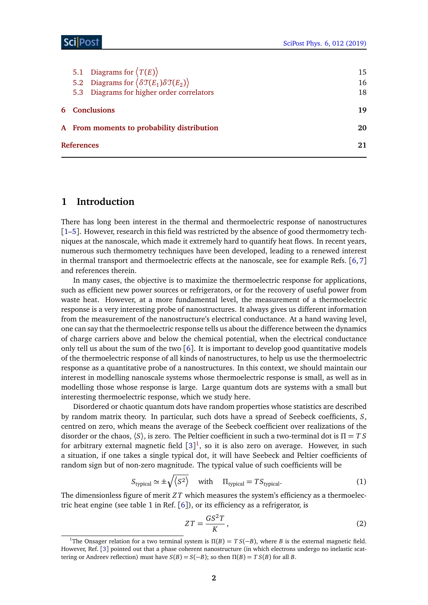|                                            | 5.1 Diagrams for $\langle T(E) \rangle$                                              |  | 15 |  |
|--------------------------------------------|--------------------------------------------------------------------------------------|--|----|--|
|                                            | 5.2 Diagrams for $\langle \delta \mathfrak{T}(E_1) \delta \mathfrak{T}(E_2) \rangle$ |  | 16 |  |
|                                            | 5.3 Diagrams for higher order correlators                                            |  | 18 |  |
| <b>6</b> Conclusions                       |                                                                                      |  | 19 |  |
| A From moments to probability distribution |                                                                                      |  | 20 |  |
|                                            | References                                                                           |  |    |  |
|                                            |                                                                                      |  |    |  |

## <span id="page-1-0"></span>**1 Introduction**

There has long been interest in the thermal and thermoelectric response of nanostructures [[1](#page-20-1)[–5](#page-20-2)]. However, research in this field was restricted by the absence of good thermometry techniques at the nanoscale, which made it extremely hard to quantify heat flows. In recent years, numerous such thermometry techniques have been developed, leading to a renewed interest in thermal transport and thermoelectric effects at the nanoscale, see for example Refs. [[6,](#page-20-3)[7](#page-20-4)] and references therein.

In many cases, the objective is to maximize the thermoelectric response for applications, such as efficient new power sources or refrigerators, or for the recovery of useful power from waste heat. However, at a more fundamental level, the measurement of a thermoelectric response is a very interesting probe of nanostructures. It always gives us different information from the measurement of the nanostructure's electrical conductance. At a hand waving level, one can say that the thermoelectric response tells us about the difference between the dynamics of charge carriers above and below the chemical potential, when the electrical conductance only tell us about the sum of the two  $\lceil 6 \rceil$  $\lceil 6 \rceil$  $\lceil 6 \rceil$ . It is important to develop good quantitative models of the thermoelectric response of all kinds of nanostructures, to help us use the thermoelectric response as a quantitative probe of a nanostructures. In this context, we should maintain our interest in modelling nanoscale systems whose thermoelectric response is small, as well as in modelling those whose response is large. Large quantum dots are systems with a small but interesting thermoelectric response, which we study here.

Disordered or chaotic quantum dots have random properties whose statistics are described by random matrix theory. In particular, such dots have a spread of Seebeck coefficients, *S*, centred on zero, which means the average of the Seebeck coefficient over realizations of the disorder or the chaos, 〈*S*〉, is zero. The Peltier coefficient in such a two-terminal dot is *Π* = *T S* for arbitrary external magnetic field  $[3]^1$  $[3]^1$  $[3]^1$  $[3]^1$ , so it is also zero on average. However, in such a situation, if one takes a single typical dot, it will have Seebeck and Peltier coefficients of random sign but of non-zero magnitude. The typical value of such coefficients will be

<span id="page-1-3"></span>
$$
S_{\text{typical}} \simeq \pm \sqrt{\langle S^2 \rangle} \quad \text{with} \quad \Pi_{\text{typical}} = T S_{\text{typical}}. \tag{1}
$$

The dimensionless figure of merit *Z T* which measures the system's efficiency as a thermoelectric heat engine (see table 1 in Ref. [[6](#page-20-3)]), or its efficiency as a refrigerator, is

<span id="page-1-2"></span>
$$
ZT = \frac{GS^2T}{K},\tag{2}
$$

<span id="page-1-1"></span><sup>&</sup>lt;sup>1</sup>The Onsager relation for a two terminal system is  $\Pi(B) = TS(-B)$ , where *B* is the external magnetic field. However, Ref. [[3](#page-20-5)] pointed out that a phase coherent nanostructure (in which electrons undergo no inelastic scattering or Andreev reflection) must have  $S(B) = S(-B)$ ; so then  $\Pi(B) = TS(B)$  for all *B*.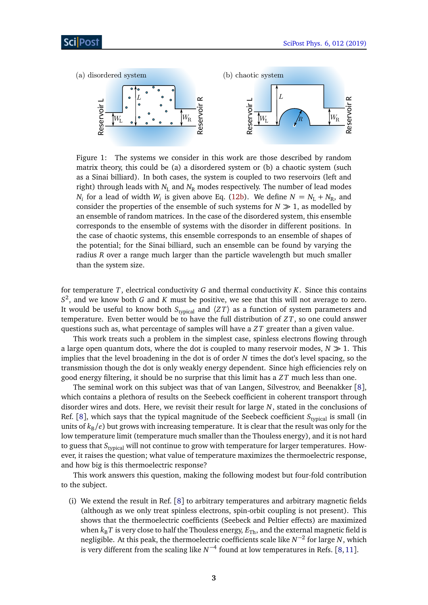<span id="page-2-0"></span>

Figure 1: The systems we consider in this work are those described by random matrix theory, this could be (a) a disordered system or (b) a chaotic system (such as a Sinai billiard). In both cases, the system is coupled to two reservoirs (left and right) through leads with  $N_L$  and  $N_R$  modes respectively. The number of lead modes *N*<sub>*i*</sub> for a lead of width *W*<sub>*i*</sub> is given above Eq. [\(12b\)](#page-5-2). We define  $N = N_L + N_R$ , and consider the properties of the ensemble of such systems for  $N \gg 1$ , as modelled by an ensemble of random matrices. In the case of the disordered system, this ensemble corresponds to the ensemble of systems with the disorder in different positions. In the case of chaotic systems, this ensemble corresponds to an ensemble of shapes of the potential; for the Sinai billiard, such an ensemble can be found by varying the radius *R* over a range much larger than the particle wavelength but much smaller than the system size.

for temperature *T*, electrical conductivity *G* and thermal conductivity *K*. Since this contains *S* 2 , and we know both *G* and *K* must be positive, we see that this will not average to zero. It would be useful to know both  $S_{\text{tvoical}}$  and  $\langle ZT \rangle$  as a function of system parameters and temperature. Even better would be to have the full distribution of *Z T*, so one could answer questions such as, what percentage of samples will have a *Z T* greater than a given value.

This work treats such a problem in the simplest case, spinless electrons flowing through a large open quantum dots, where the dot is coupled to many reservoir modes,  $N \gg 1$ . This implies that the level broadening in the dot is of order *N* times the dot's level spacing, so the transmission though the dot is only weakly energy dependent. Since high efficiencies rely on good energy filtering, it should be no surprise that this limit has a *Z T* much less than one.

The seminal work on this subject was that of van Langen, Silvestrov, and Beenakker [[8](#page-20-6)], which contains a plethora of results on the Seebeck coefficient in coherent transport through disorder wires and dots. Here, we revisit their result for large *N*, stated in the conclusions of Ref. [[8](#page-20-6)], which says that the typical magnitude of the Seebeck coefficient *S*<sub>typical</sub> is small (in units of  $k_B/e$ ) but grows with increasing temperature. It is clear that the result was only for the low temperature limit (temperature much smaller than the Thouless energy), and it is not hard to guess that *S<sub>typical</sub>* will not continue to grow with temperature for larger temperatures. However, it raises the question; what value of temperature maximizes the thermoelectric response, and how big is this thermoelectric response?

This work answers this question, making the following modest but four-fold contribution to the subject.

(i) We extend the result in Ref. [[8](#page-20-6)] to arbitrary temperatures and arbitrary magnetic fields (although as we only treat spinless electrons, spin-orbit coupling is not present). This shows that the thermoelectric coefficients (Seebeck and Peltier effects) are maximized when  $k_B T$  is very close to half the Thouless energy,  $E_{Th}$ , and the external magnetic field is negligible. At this peak, the thermoelectric coefficients scale like *N* −2 for large *N*, which is very different from the scaling like  $N^{-4}$  found at low temperatures in Refs. [[8,](#page-20-6)[11](#page-20-7)].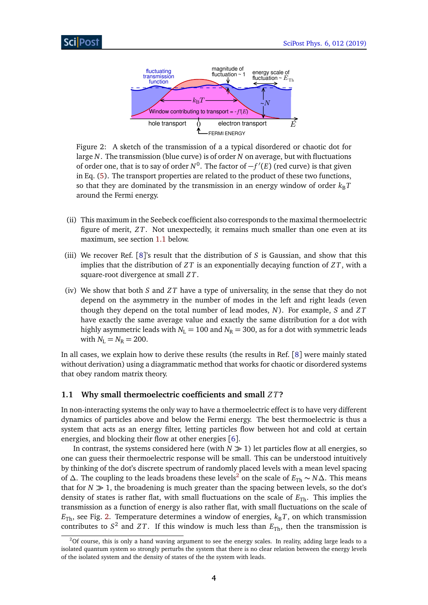<span id="page-3-2"></span>

Figure 2: A sketch of the transmission of a a typical disordered or chaotic dot for large *N*. The transmission (blue curve) is of order *N* on average, but with fluctuations of order one, that is to say of order *N*<sup>0</sup>. The factor of −*f'*(*E*) (red curve) is that given in Eq. [\(5\)](#page-5-3). The transport properties are related to the product of these two functions, so that they are dominated by the transmission in an energy window of order  $k_B T$ around the Fermi energy.

- (ii) This maximum in the Seebeck coefficient also corresponds to the maximal thermoelectric figure of merit, *Z T*. Not unexpectedly, it remains much smaller than one even at its maximum, see section [1.1](#page-3-0) below.
- (iii) We recover Ref. [[8](#page-20-6)]'s result that the distribution of *S* is Gaussian, and show that this implies that the distribution of *Z T* is an exponentially decaying function of *Z T*, with a square-root divergence at small *Z T*.
- (iv) We show that both *S* and *Z T* have a type of universality, in the sense that they do not depend on the asymmetry in the number of modes in the left and right leads (even though they depend on the total number of lead modes, *N*). For example, *S* and *Z T* have exactly the same average value and exactly the same distribution for a dot with highly asymmetric leads with  $N_L = 100$  and  $N_R = 300$ , as for a dot with symmetric leads with  $N_{\rm L} = N_{\rm R} = 200$ .

In all cases, we explain how to derive these results (the results in Ref. [[8](#page-20-6)] were mainly stated without derivation) using a diagrammatic method that works for chaotic or disordered systems that obey random matrix theory.

## <span id="page-3-0"></span>**1.1 Why small thermoelectric coefficients and small** *Z T***?**

In non-interacting systems the only way to have a thermoelectric effect is to have very different dynamics of particles above and below the Fermi energy. The best thermoelectric is thus a system that acts as an energy filter, letting particles flow between hot and cold at certain energies, and blocking their flow at other energies [[6](#page-20-3)].

In contrast, the systems considered here (with  $N \gg 1$ ) let particles flow at all energies, so one can guess their thermoelectric response will be small. This can be understood intuitively by thinking of the dot's discrete spectrum of randomly placed levels with a mean level spacing of *∆*. The coupling to the leads broadens these levels<sup>[2](#page-3-1)</sup> on the scale of  $E_{Th} \sim N\Delta$ . This means that for  $N \gg 1$ , the broadening is much greater than the spacing between levels, so the dot's density of states is rather flat, with small fluctuations on the scale of  $E_{\text{Th}}$ . This implies the transmission as a function of energy is also rather flat, with small fluctuations on the scale of  $E_{\text{Th}}$ , see Fig. [2.](#page-3-2) Temperature determines a window of energies,  $k_B T$ , on which transmission contributes to  $S^2$  and  $ZT$ . If this window is much less than  $E_{Th}$ , then the transmission is

<span id="page-3-1"></span> $2$ Of course, this is only a hand waving argument to see the energy scales. In reality, adding large leads to a isolated quantum system so strongly perturbs the system that there is no clear relation between the energy levels of the isolated system and the density of states of the the system with leads.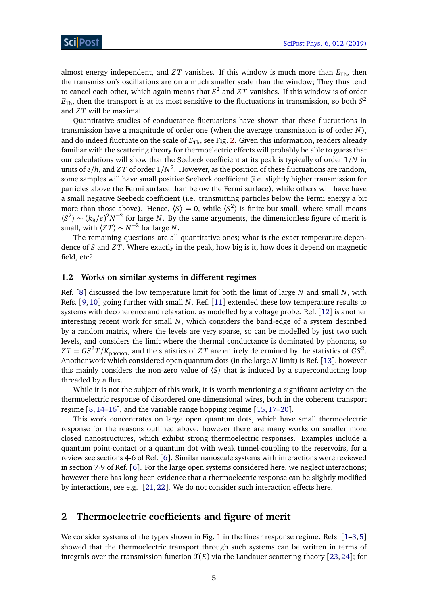almost energy independent, and *ZT* vanishes. If this window is much more than  $E_{\text{Th}}$ , then the transmission's oscillations are on a much smaller scale than the window; They thus tend to cancel each other, which again means that *S* 2 and *Z T* vanishes. If this window is of order  $E_{\rm Th}$ , then the transport is at its most sensitive to the fluctuations in transmission, so both  $S^2$ and *Z T* will be maximal.

Quantitative studies of conductance fluctuations have shown that these fluctuations in transmission have a magnitude of order one (when the average transmission is of order *N*), and do indeed fluctuate on the scale of  $E<sub>Th</sub>$ , see Fig. [2.](#page-3-2) Given this information, readers already familiar with the scattering theory for thermoelectric effects will probably be able to guess that our calculations will show that the Seebeck coefficient at its peak is typically of order 1*/N* in units of *e/h*, and *Z T* of order 1*/N* 2 . However, as the position of these fluctuations are random, some samples will have small positive Seebeck coefficient (i.e. slightly higher transmission for particles above the Fermi surface than below the Fermi surface), while others will have have a small negative Seebeck coefficient (i.e. transmitting particles below the Fermi energy a bit more than those above). Hence,  $\langle S \rangle = 0$ , while  $\langle S^2 \rangle$  is finite but small, where small means  $\langle S^2 \rangle \sim (k_B/e)^2 N^{-2}$  for large *N*. By the same arguments, the dimensionless figure of merit is small, with  $\langle ZT \rangle \sim N^{-2}$  for large *N*.

The remaining questions are all quantitative ones; what is the exact temperature dependence of *S* and *Z T*. Where exactly in the peak, how big is it, how does it depend on magnetic field, etc?

#### <span id="page-4-0"></span>**1.2 Works on similar systems in different regimes**

Ref. [[8](#page-20-6)] discussed the low temperature limit for both the limit of large *N* and small *N*, with Refs. [[9,](#page-20-8)[10](#page-20-9)] going further with small *N*. Ref. [[11](#page-20-7)] extended these low temperature results to systems with decoherence and relaxation, as modelled by a voltage probe. Ref. [[12](#page-21-0)] is another interesting recent work for small *N*, which considers the band-edge of a system described by a random matrix, where the levels are very sparse, so can be modelled by just two such levels, and considers the limit where the thermal conductance is dominated by phonons, so  $ZT = GS^2T/K_{\rm phonon}$ , and the statistics of  $ZT$  are entirely determined by the statistics of  $GS^2$ . Another work which considered open quantum dots (in the large *N* limit) is Ref. [[13](#page-21-1)], however this mainly considers the non-zero value of  $\langle S \rangle$  that is induced by a superconducting loop threaded by a flux.

While it is not the subject of this work, it is worth mentioning a significant activity on the thermoelectric response of disordered one-dimensional wires, both in the coherent transport regime [[8,](#page-20-6)[14](#page-21-2)[–16](#page-21-3)], and the variable range hopping regime [[15,](#page-21-4)[17–](#page-21-5)[20](#page-21-6)].

This work concentrates on large open quantum dots, which have small thermoelectric response for the reasons outlined above, however there are many works on smaller more closed nanostructures, which exhibit strong thermoelectric responses. Examples include a quantum point-contact or a quantum dot with weak tunnel-coupling to the reservoirs, for a review see sections 4-6 of Ref. [[6](#page-20-3)]. Similar nanoscale systems with interactions were reviewed in section 7-9 of Ref. [[6](#page-20-3)]. For the large open systems considered here, we neglect interactions; however there has long been evidence that a thermoelectric response can be slightly modified by interactions, see e.g. [[21,](#page-21-7)[22](#page-21-8)]. We do not consider such interaction effects here.

# <span id="page-4-1"></span>**2 Thermoelectric coefficients and figure of merit**

We consider systems of the types shown in Fig. [1](#page-2-0) in the linear response regime. Refs  $[1-3,5]$  $[1-3,5]$  $[1-3,5]$  $[1-3,5]$ showed that the thermoelectric transport through such systems can be written in terms of integrals over the transmission function  $\mathcal{T}(E)$  via the Landauer scattering theory [[23,](#page-21-9) [24](#page-21-10)]; for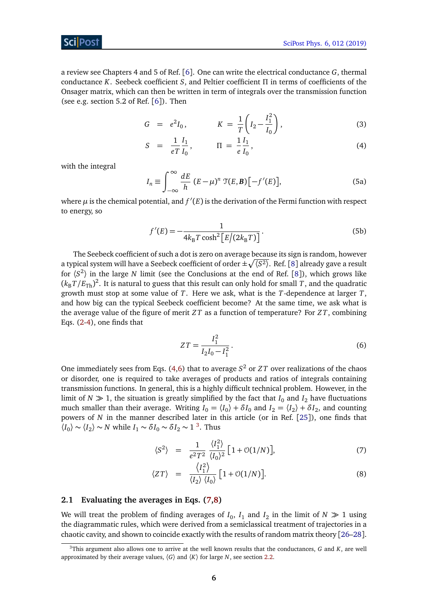## Sci Post

a review see Chapters 4 and 5 of Ref. [[6](#page-20-3)]. One can write the electrical conductance *G*, thermal conductance *K*. Seebeck coefficient *S*, and Peltier coefficient *Π* in terms of coefficients of the Onsager matrix, which can then be written in term of integrals over the transmission function (see e.g. section 5.2 of Ref. [[6](#page-20-3)]). Then

<span id="page-5-4"></span>
$$
G = e^2 I_0, \qquad K = \frac{1}{T} \left( I_2 - \frac{I_1^2}{I_0} \right), \qquad (3)
$$

$$
S = \frac{1}{eT} \frac{I_1}{I_0}, \qquad \Pi = \frac{1}{e} \frac{I_1}{I_0}, \qquad (4)
$$

with the integral

<span id="page-5-3"></span>
$$
I_n \equiv \int_{-\infty}^{\infty} \frac{dE}{h} \left( E - \mu \right)^n \mathcal{T}(E, \mathbf{B}) \left[ -f'(E) \right], \tag{5a}
$$

where  $\mu$  is the chemical potential, and  $f'(E)$  is the derivation of the Fermi function with respect to energy, so

<span id="page-5-2"></span>
$$
f'(E) = -\frac{1}{4k_{\rm B}T\cosh^2\left[E/(2k_{\rm B}T)\right]}.
$$
\n(5b)

The Seebeck coefficient of such a dot is zero on average because its sign is random, however a typical system will have a Seebeck coefficient of order  $\pm\sqrt{\langle S^2\rangle}.$  Ref. [[8](#page-20-6)] already gave a result for  $\langle S^2 \rangle$  in the large *N* limit (see the Conclusions at the end of Ref. [[8](#page-20-6)]), which grows like  $(k_{\rm B}T/E_{\rm Th})^2$ . It is natural to guess that this result can only hold for small *T*, and the quadratic growth must stop at some value of *T*. Here we ask, what is the *T*-dependence at larger *T*, and how big can the typical Seebeck coefficient become? At the same time, we ask what is the average value of the figure of merit *Z T* as a function of temperature? For *Z T*, combining Eqs. [\(2](#page-1-2)[-4\)](#page-5-4), one finds that

<span id="page-5-5"></span>
$$
ZT = \frac{I_1^2}{I_2 I_0 - I_1^2}.
$$
\n(6)

One immediately sees from Eqs. [\(4](#page-5-4)[,6\)](#page-5-5) that to average  $S^2$  or *ZT* over realizations of the chaos or disorder, one is required to take averages of products and ratios of integrals containing transmission functions. In general, this is a highly difficult technical problem. However, in the limit of  $N \gg 1$ , the situation is greatly simplified by the fact that  $I_0$  and  $I_2$  have fluctuations much smaller than their average. Writing  $I_0 = \langle I_0 \rangle + \delta I_0$  and  $I_2 = \langle I_2 \rangle + \delta I_2$ , and counting powers of *N* in the manner described later in this article (or in Ref. [[25](#page-21-11)]), one finds that  $\langle I_0 \rangle \sim \langle I_2 \rangle \sim N$  while  $I_1 \sim \delta I_0 \sim \delta I_2 \sim 1^{3}$  $I_1 \sim \delta I_0 \sim \delta I_2 \sim 1^{3}$  $I_1 \sim \delta I_0 \sim \delta I_2 \sim 1^{3}$ . Thus

<span id="page-5-1"></span>
$$
\langle S^2 \rangle = \frac{1}{e^2 T^2} \frac{\langle I_1^2 \rangle}{\langle I_0 \rangle^2} \left[ 1 + \mathcal{O}(1/N) \right],\tag{7}
$$

$$
\langle ZT \rangle = \frac{\langle I_1^2 \rangle}{\langle I_2 \rangle \langle I_0 \rangle} \left[ 1 + \mathcal{O}(1/N) \right]. \tag{8}
$$

### <span id="page-5-0"></span>**2.1 Evaluating the averages in Eqs. [\(7,8\)](#page-5-1)**

We will treat the problem of finding averages of  $I_0$ ,  $I_1$  and  $I_2$  in the limit of  $N \gg 1$  using the diagrammatic rules, which were derived from a semiclassical treatment of trajectories in a chaotic cavity, and shown to coincide exactly with the results of random matrix theory [[26](#page-21-12)[–28](#page-21-13)].

<span id="page-5-6"></span><sup>3</sup>This argument also allows one to arrive at the well known results that the conductances, *G* and *K*, are well approximated by their average values,  $\langle G \rangle$  and  $\langle K \rangle$  for large *N*, see section [2.2.](#page-7-0)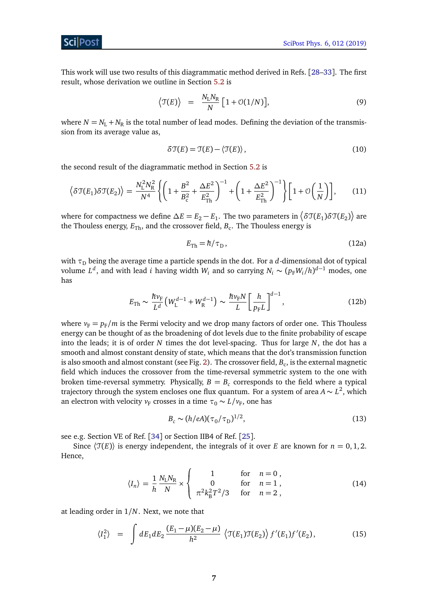This work will use two results of this diagrammatic method derived in Refs. [[28–](#page-21-13)[33](#page-22-0)]. The first result, whose derivation we outline in Section [5.2](#page-15-0) is

<span id="page-6-4"></span>
$$
\left\langle \mathfrak{T}(E) \right\rangle = \frac{N_{\rm L} N_{\rm R}}{N} \left[ 1 + \mathcal{O}(1/N) \right],\tag{9}
$$

where  $N = N_L + N_R$  is the total number of lead modes. Defining the deviation of the transmission from its average value as,

<span id="page-6-3"></span>
$$
\delta \mathfrak{T}(E) = \mathfrak{T}(E) - \langle \mathfrak{T}(E) \rangle, \qquad (10)
$$

the second result of the diagrammatic method in Section [5.2](#page-15-0) is

<span id="page-6-0"></span>
$$
\left\langle \delta \mathcal{T}(E_1) \delta \mathcal{T}(E_2) \right\rangle = \frac{N_{\rm L}^2 N_{\rm R}^2}{N^4} \left\{ \left( 1 + \frac{B^2}{B_{\rm c}^2} + \frac{\Delta E^2}{E_{\rm Th}^2} \right)^{-1} + \left( 1 + \frac{\Delta E^2}{E_{\rm Th}^2} \right)^{-1} \right\} \left[ 1 + \mathcal{O}\left(\frac{1}{N}\right) \right],\tag{11}
$$

where for compactness we define  $\Delta E=E_2-E_1.$  The two parameters in  $\big<\delta\mathfrak{T}(E_1)\delta\mathfrak{T}(E_2)\big>$  are the Thouless energy,  $E_{\rm Th}$ , and the crossover field,  $B_{\rm c}.$  The Thouless energy is

<span id="page-6-2"></span>
$$
E_{\rm Th} = \hbar / \tau_{\rm D},\tag{12a}
$$

with  $\tau_D$  being the average time a particle spends in the dot. For a *d*-dimensional dot of typical volume  $L^d$ , and with lead *i* having width  $W_i$  and so carrying  $N_i \sim (p_{\rm F} W_i/h)^{d-1}$  modes, one has

$$
E_{\rm Th} \sim \frac{\hbar v_{\rm F}}{L^d} \left( W_{\rm L}^{d-1} + W_{\rm R}^{d-1} \right) \sim \frac{\hbar v_{\rm F} N}{L} \left[ \frac{h}{p_{\rm F} L} \right]^{d-1},\tag{12b}
$$

where  $v_F = p_F/m$  is the Fermi velocity and we drop many factors of order one. This Thouless energy can be thought of as the broadening of dot levels due to the finite probability of escape into the leads; it is of order *N* times the dot level-spacing. Thus for large *N*, the dot has a smooth and almost constant density of state, which means that the dot's transmission function is also smooth and almost constant (see Fig. [2\)](#page-3-2). The crossover field,  $B_{\rm c}$ , is the external magnetic field which induces the crossover from the time-reversal symmetric system to the one with broken time-reversal symmetry. Physically,  $B = B_c$  corresponds to the field where a typical trajectory through the system encloses one flux quantum. For a system of area *A* ∼ *L* 2 , which an electron with velocity  $v_F$  crosses in a time  $\tau_0 \sim L/v_F$ , one has

$$
B_c \sim (h/eA)(\tau_0/\tau_D)^{1/2},\tag{13}
$$

see e.g. Section VE of Ref. [[34](#page-22-1)] or Section IIB4 of Ref. [[25](#page-21-11)].

Since  $\langle \mathcal{T}(E) \rangle$  is energy independent, the integrals of it over *E* are known for  $n = 0, 1, 2$ . Hence,

<span id="page-6-1"></span>
$$
\langle I_n \rangle = \frac{1}{h} \frac{N_{\rm L} N_{\rm R}}{N} \times \begin{cases} 1 & \text{for} \quad n = 0 \,, \\ 0 & \text{for} \quad n = 1 \,, \\ \pi^2 k_{\rm B}^2 T^2 / 3 & \text{for} \quad n = 2 \,, \end{cases} \tag{14}
$$

at leading order in 1*/N*. Next, we note that

$$
\langle I_1^2 \rangle = \int dE_1 dE_2 \frac{(E_1 - \mu)(E_2 - \mu)}{\hbar^2} \left\langle \mathfrak{T}(E_1) \mathfrak{T}(E_2) \right\rangle f'(E_1) f'(E_2), \tag{15}
$$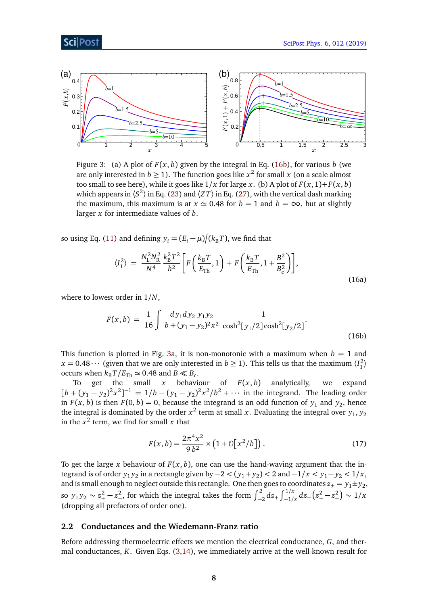<span id="page-7-1"></span>

Figure 3: (a) A plot of  $F(x, b)$  given by the integral in Eq. [\(16b\)](#page-5-2), for various *b* (we are only interested in  $b \ge 1$ ). The function goes like  $x^2$  for small  $x$  (on a scale almost too small to see here), while it goes like  $1/x$  for large *x*. (b) A plot of  $F(x, 1) + F(x, b)$ which appears in  $\langle S^2 \rangle$  in Eq. [\(23\)](#page-8-1) and  $\langle ZT \rangle$  in Eq. [\(27\)](#page-9-1), with the vertical dash marking the maximum, this maximum is at  $x \approx 0.48$  for  $b = 1$  and  $b = \infty$ , but at slightly larger *x* for intermediate values of *b*.

so using Eq. [\(11\)](#page-6-0) and defining  $y_i = (E_i - \mu)/(k_B T)$ , we find that

$$
\langle I_1^2 \rangle = \frac{N_{\rm L}^2 N_{\rm R}^2}{N^4} \frac{k_{\rm B}^2 T^2}{h^2} \bigg[ F\bigg(\frac{k_{\rm B}T}{E_{\rm Th}}, 1\bigg) + F\bigg(\frac{k_{\rm B}T}{E_{\rm Th}}, 1 + \frac{B^2}{B_{\rm c}^2}\bigg) \bigg],\tag{16a}
$$

where to lowest order in 1*/N*,

$$
F(x,b) = \frac{1}{16} \int \frac{dy_1 dy_2 y_1 y_2}{b + (y_1 - y_2)^2 x^2} \frac{1}{\cosh^2[y_1/2] \cosh^2[y_2/2]}.
$$
\n(16b)

This function is plotted in Fig. [3a](#page-7-1), it is non-monotonic with a maximum when  $b = 1$  and  $x = 0.48 \cdots$  (given that we are only interested in  $b \ge 1$ ). This tells us that the maximum  $\langle I_1^2 \rangle$ occurs when  $k_B T / E_{\text{Th}} \simeq 0.48$  and  $B \ll B_c$ .

To get the small  $x$  behaviour of  $F(x, b)$  analytically, we expand  $[b + (y_1 - y_2)^2 x^2]^{-1} = 1/b - (y_1 - y_2)^2 x^2/b^2 + \cdots$  in the integrand. The leading order in  $F(x, b)$  is then  $F(0, b) = 0$ , because the integrand is an odd function of  $y_1$  and  $y_2$ , hence the integral is dominated by the order  $x^2$  term at small *x*. Evaluating the integral over  $y_1, y_2$ in the  $x^2$  term, we find for small  $x$  that

<span id="page-7-2"></span>
$$
F(x, b) = \frac{2\pi^4 x^2}{9 b^2} \times (1 + \mathcal{O}[x^2/b]).
$$
 (17)

To get the large *x* behaviour of  $F(x, b)$ , one can use the hand-waving argument that the integrand is of order  $y_1 y_2$  in a rectangle given by  $-2 < (y_1 + y_2) < 2$  and  $-1/x < y_1 - y_2 < 1/x$ , and is small enough to neglect outside this rectangle. One then goes to coordinates  $z_{\pm} = y_1 \pm y_2$ , so  $y_1 y_2 \sim z_+^2 - z_-^2$ , for which the integral takes the form  $\int_{-2}^2 dz_+ \int_{-1/x}^{1/x} dz_- (z_+^2 - z_-^2) \sim 1/x$ (dropping all prefactors of order one).

#### <span id="page-7-0"></span>**2.2 Conductances and the Wiedemann-Franz ratio**

Before addressing thermoelectric effects we mention the electrical conductance, *G*, and thermal conductances, *K*. Given Eqs. [\(3](#page-5-4)[,14\)](#page-6-1), we immediately arrive at the well-known result for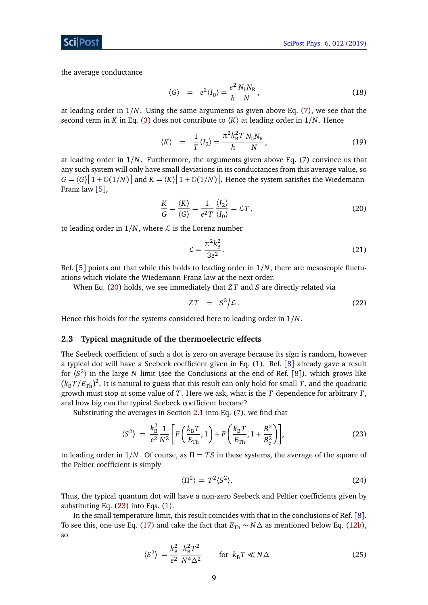the average conductance

$$
\langle G \rangle = e^2 \langle I_0 \rangle = \frac{e^2}{h} \frac{N_L N_R}{N}, \qquad (18)
$$

at leading order in 1*/N*. Using the same arguments as given above Eq. [\(7\)](#page-5-1), we see that the second term in *K* in Eq. [\(3\)](#page-5-4) does not contribute to  $\langle K \rangle$  at leading order in  $1/N$ . Hence

$$
\langle K \rangle = \frac{1}{T} \langle I_2 \rangle = \frac{\pi^2 k_B^2 T}{h} \frac{N_L N_R}{N}, \qquad (19)
$$

at leading order in 1*/N*. Furthermore, the arguments given above Eq. [\(7\)](#page-5-1) convince us that any such system will only have small deviations in its conductances from this average value, so  $G = \langle G \rangle \big[ 1 + \mathcal{O}(1/N) \big]$  and  $K = \langle K \rangle \big[ 1 + \mathcal{O}(1/N) \big]$ . Hence the system satisfies the Wiedemann-Franz law [[5](#page-20-2)],

<span id="page-8-2"></span>
$$
\frac{K}{G} = \frac{\langle K \rangle}{\langle G \rangle} = \frac{1}{e^2 T} \frac{\langle I_2 \rangle}{\langle I_0 \rangle} = \mathcal{L} T,
$$
\n(20)

to leading order in  $1/N$ , where  $\mathcal L$  is the Lorenz number

$$
\mathcal{L} = \frac{\pi^2 k_\text{B}^2}{3e^2}.
$$
\n
$$
(21)
$$

Ref. [[5](#page-20-2)] points out that while this holds to leading order in 1*/N*, there are mesoscopic fluctuations which violate the Wiedemann-Franz law at the next order.

When Eq. [\(20\)](#page-8-2) holds, we see immediately that *Z T* and *S* are directly related via

<span id="page-8-3"></span>
$$
ZT = S^2/\mathcal{L}. \tag{22}
$$

Hence this holds for the systems considered here to leading order in 1*/N*.

#### <span id="page-8-0"></span>**2.3 Typical magnitude of the thermoelectric effects**

The Seebeck coefficient of such a dot is zero on average because its sign is random, however a typical dot will have a Seebeck coefficient given in Eq. [\(1\)](#page-1-3). Ref. [[8](#page-20-6)] already gave a result for  $\langle S^2 \rangle$  in the large *N* limit (see the Conclusions at the end of Ref. [[8](#page-20-6)]), which grows like  $(k_{\rm B}T/E_{\rm Th})^2$ . It is natural to guess that this result can only hold for small *T*, and the quadratic growth must stop at some value of *T*. Here we ask, what is the *T*-dependence for arbitrary *T*, and how big can the typical Seebeck coefficient become?

Substituting the averages in Section [2.1](#page-5-0) into Eq. [\(7\)](#page-5-1), we find that

<span id="page-8-1"></span>
$$
\langle S^2 \rangle = \frac{k_B^2}{e^2} \frac{1}{N^2} \bigg[ F\bigg( \frac{k_B T}{E_{\text{Th}}} , 1 \bigg) + F\bigg( \frac{k_B T}{E_{\text{Th}}} , 1 + \frac{B^2}{B_c^2} \bigg) \bigg], \tag{23}
$$

to leading order in 1*/N*. Of course, as *Π* = *T S* in these systems, the average of the square of the Peltier coefficient is simply

$$
\langle \Pi^2 \rangle = T^2 \langle S^2 \rangle. \tag{24}
$$

Thus, the typical quantum dot will have a non-zero Seebeck and Peltier coefficients given by substituting Eq. [\(23\)](#page-8-1) into Eqs. [\(1\)](#page-1-3).

In the small temperature limit, this result coincides with that in the conclusions of Ref. [[8](#page-20-6)]. To see this, one use Eq. [\(17\)](#page-7-2) and take the fact that  $E_{Th} \sim N\Delta$  as mentioned below Eq. [\(12b\)](#page-5-2), so

$$
\langle S^2 \rangle = \frac{k_B^2}{e^2} \frac{k_B^2 T^2}{N^4 \Delta^2} \qquad \text{for } k_B T \ll N \Delta \tag{25}
$$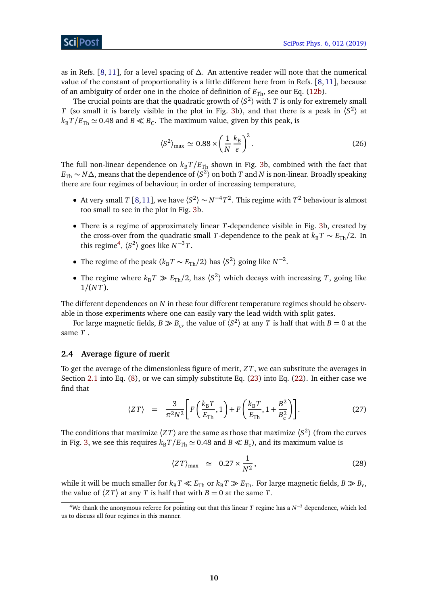## ScilPost

as in Refs. [[8,](#page-20-6) [11](#page-20-7)], for a level spacing of *∆*. An attentive reader will note that the numerical value of the constant of proportionality is a little different here from in Refs. [[8,](#page-20-6)[11](#page-20-7)], because of an ambiguity of order one in the choice of definition of  $E_{\text{Th}}$ , see our Eq. [\(12b\)](#page-5-2).

The crucial points are that the quadratic growth of  $\langle S^2 \rangle$  with *T* is only for extremely small *T* (so small it is barely visible in the plot in Fig. [3b](#page-7-1)), and that there is a peak in  $\langle S^2 \rangle$  at  $k_B T / E_{\text{Th}} \simeq 0.48$  and  $B \ll B_C$ . The maximum value, given by this peak, is

$$
\langle S^2 \rangle_{\text{max}} \simeq 0.88 \times \left(\frac{1}{N} \frac{k_B}{e}\right)^2. \tag{26}
$$

The full non-linear dependence on  $k_B T / E_{Th}$  shown in Fig. [3b](#page-7-1), combined with the fact that *E*Th ∼ *N∆*, means that the dependence of 〈*S* 2 〉 on both *T* and *N* is non-linear. Broadly speaking there are four regimes of behaviour, in order of increasing temperature,

- At very small *T* [[8,](#page-20-6)[11](#page-20-7)], we have  $\langle S^2 \rangle \sim N^{-4}T^2$ . This regime with  $T^2$  behaviour is almost too small to see in the plot in Fig. [3b](#page-7-1).
- There is a regime of approximately linear *T*-dependence visible in Fig. [3b](#page-7-1), created by the cross-over from the quadratic small *T*-dependence to the peak at  $k_B T \sim E_{Th}/2$ . In this regime<sup>[4](#page-9-2)</sup>,  $\langle S^2 \rangle$  goes like  $N^{-3}T$ .
- The regime of the peak ( $k_B T \sim E_{\text{Th}}/2$ ) has  $\langle S^2 \rangle$  going like  $N^{-2}$ .
- The regime where  $k_B T \gg E_{Th}/2$ , has  $\langle S^2 \rangle$  which decays with increasing *T*, going like 1*/*(*N T*).

The different dependences on *N* in these four different temperature regimes should be observable in those experiments where one can easily vary the lead width with split gates.

For large magnetic fields,  $B\gg B_\mathrm{c}$ , the value of  $\langle S^2\rangle$  at any  $T$  is half that with  $B=0$  at the same *T* .

### <span id="page-9-0"></span>**2.4 Average figure of merit**

To get the average of the dimensionless figure of merit, *Z T*, we can substitute the averages in Section [2.1](#page-5-0) into Eq. [\(8\)](#page-5-1), or we can simply substitute Eq. [\(23\)](#page-8-1) into Eq. [\(22\)](#page-8-3). In either case we find that

<span id="page-9-1"></span>
$$
\langle ZT \rangle = \frac{3}{\pi^2 N^2} \left[ F\left(\frac{k_\text{B}T}{E_{\text{Th}}}, 1\right) + F\left(\frac{k_\text{B}T}{E_{\text{Th}}}, 1 + \frac{B^2}{B_c^2}\right) \right]. \tag{27}
$$

The conditions that maximize  $\langle ZT \rangle$  are the same as those that maximize  $\langle S^2 \rangle$  (from the curves in Fig. [3,](#page-7-1) we see this requires  $k_B T / E_{\text{Th}} \simeq 0.48$  and  $B \ll B_c$ ), and its maximum value is

$$
\langle ZT \rangle_{\text{max}} \simeq 0.27 \times \frac{1}{N^2},\tag{28}
$$

while it will be much smaller for  $k_B T \ll E_{Th}$  or  $k_B T \gg E_{Th}$ . For large magnetic fields,  $B \gg B_c$ , the value of  $\langle ZT \rangle$  at any *T* is half that with  $B = 0$  at the same *T*.

<span id="page-9-2"></span><sup>&</sup>lt;sup>4</sup>We thank the anonymous referee for pointing out that this linear *T* regime has a *N*<sup>-3</sup> dependence, which led us to discuss all four regimes in this manner.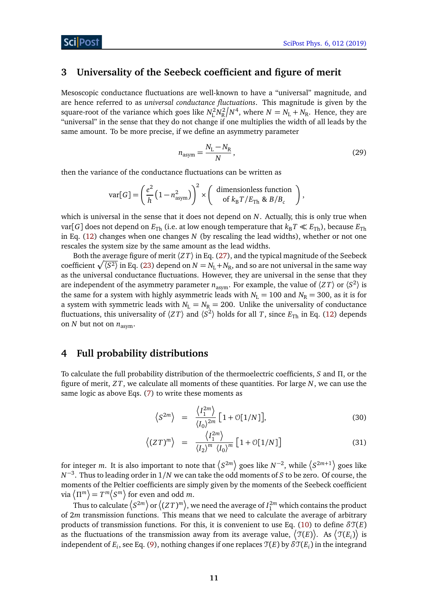## <span id="page-10-0"></span>**3 Universality of the Seebeck coefficient and figure of merit**

Mesoscopic conductance fluctuations are well-known to have a "universal" magnitude, and are hence referred to as *universal conductance fluctuations*. This magnitude is given by the square-root of the variance which goes like  $N_{\rm L}^2 N_{\rm R}^2 / N^4$ , where  $N = N_{\rm L} + N_{\rm R}$ . Hence, they are "universal" in the sense that they do not change if one multiplies the width of all leads by the same amount. To be more precise, if we define an asymmetry parameter

$$
n_{\text{asym}} = \frac{N_{\text{L}} - N_{\text{R}}}{N},\tag{29}
$$

then the variance of the conductance fluctuations can be written as

$$
\text{var}[G] = \left(\frac{e^2}{h} \left(1 - n_{\text{asym}}^2\right)\right)^2 \times \left(\begin{array}{c} \text{dimensionless function} \\ \text{of } k_{\text{B}} T / E_{\text{Th}} \& B / B_c \end{array}\right),
$$

which is universal in the sense that it does not depend on *N*. Actually, this is only true when var[*G*] does not depend on  $E_{Th}$  (i.e. at low enough temperature that  $k_B T \ll E_{Th}$ ), because  $E_{Th}$ in Eq. [\(12\)](#page-6-2) changes when one changes *N* (by rescaling the lead widths), whether or not one rescales the system size by the same amount as the lead widths.

Both the average figure of merit  $\langle ZT \rangle$  in Eq. [\(27\)](#page-9-1), and the typical magnitude of the Seebeck coefficient  $\sqrt{\langle S^2 \rangle}$  in Eq. [\(23\)](#page-8-1) depend on  $N = N_\text{L} + N_\text{R}$ , and so are not universal in the same way as the universal conductance fluctuations. However, they are universal in the sense that they are independent of the asymmetry parameter  $n_{\text{asym}}.$  For example, the value of  $\langle ZT \rangle$  or  $\langle S^2 \rangle$  is the same for a system with highly asymmetric leads with  $N_L = 100$  and  $N_R = 300$ , as it is for a system with symmetric leads with  $N_L = N_R = 200$ . Unlike the universality of conductance fluctuations, this universality of  $\langle ZT \rangle$  and  $\langle S^2 \rangle$  holds for all  $T$ , since  $E_{\text{Th}}$  in Eq. [\(12\)](#page-6-2) depends on *N* but not on  $n_{\text{asym}}$ .

## <span id="page-10-1"></span>**4 Full probability distributions**

To calculate the full probability distribution of the thermoelectric coefficients, *S* and *Π*, or the figure of merit, *Z T*, we calculate all moments of these quantities. For large *N*, we can use the same logic as above Eqs. [\(7\)](#page-5-1) to write these moments as

<span id="page-10-2"></span>
$$
\left\langle S^{2m} \right\rangle = \frac{\left\langle I_1^{2m} \right\rangle}{\left\langle I_0 \right\rangle^{2m}} \left[ 1 + \mathcal{O}[1/N] \right],\tag{30}
$$

$$
\langle (ZT)^m \rangle = \frac{\langle I_1^{2m} \rangle}{\langle I_2 \rangle^m \langle I_0 \rangle^m} \left[ 1 + \mathcal{O}[1/N] \right] \tag{31}
$$

for integer *m*. It is also important to note that  $\langle S^{2m} \rangle$  goes like  $N^{-2}$ , while  $\langle S^{2m+1} \rangle$  goes like *N*<sup>−3</sup>. Thus to leading order in 1/*N* we can take the odd moments of *S* to be zero. Of course, the moments of the Peltier coefficients are simply given by the moments of the Seebeck coefficient via  $\left\langle \Pi^m \right\rangle = T^m \big\langle S^m \big\rangle$  for even and odd  $m.$ 

Thus to calculate  $\left\langle S^{2m}\right\rangle$  or  $\left\langle (ZT)^m\right\rangle$ , we need the average of  $I^{2m}_1$  which contains the product of 2*m* transmission functions. This means that we need to calculate the average of arbitrary products of transmission functions. For this, it is convenient to use Eq. [\(10\)](#page-6-3) to define  $\delta\mathcal{T}(E)$ as the fluctuations of the transmission away from its average value,  $\big\langle \mathfrak{T}(E) \big\rangle$ . As  $\big\langle \mathfrak{T}(E_i) \big\rangle$  is independent of  $E_i$ , see Eq. [\(9\)](#page-6-4), nothing changes if one replaces  $\mathfrak{T}(E)$  by  $\delta \mathfrak{T}(E_i)$  in the integrand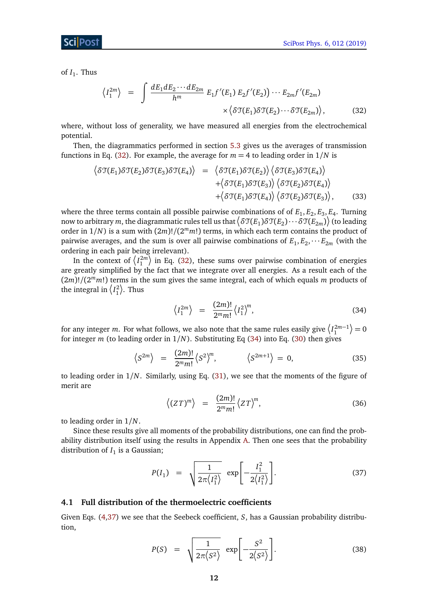ScilPos

of  $I_1$ . Thus

<span id="page-11-1"></span>
$$
\langle I_1^{2m} \rangle = \int \frac{dE_1 dE_2 \cdots dE_{2m}}{h^m} E_1 f'(E_1) E_2 f'(E_2) \cdots E_{2m} f'(E_{2m})
$$

$$
\times \langle \delta \mathfrak{T}(E_1) \delta \mathfrak{T}(E_2) \cdots \delta \mathfrak{T}(E_{2m}) \rangle, \tag{32}
$$

where, without loss of generality, we have measured all energies from the electrochemical potential.

Then, the diagrammatics performed in section [5.3](#page-17-0) gives us the averages of transmission functions in Eq. [\(32\)](#page-11-1). For example, the average for  $m = 4$  to leading order in  $1/N$  is

<span id="page-11-4"></span>
$$
\langle \delta \mathfrak{T}(E_1) \delta \mathfrak{T}(E_2) \delta \mathfrak{T}(E_3) \delta \mathfrak{T}(E_4) \rangle = \langle \delta \mathfrak{T}(E_1) \delta \mathfrak{T}(E_2) \rangle \langle \delta \mathfrak{T}(E_3) \delta \mathfrak{T}(E_4) \rangle + \langle \delta \mathfrak{T}(E_1) \delta \mathfrak{T}(E_3) \rangle \langle \delta \mathfrak{T}(E_2) \delta \mathfrak{T}(E_4) \rangle + \langle \delta \mathfrak{T}(E_1) \delta \mathfrak{T}(E_4) \rangle \langle \delta \mathfrak{T}(E_2) \delta \mathfrak{T}(E_3) \rangle, \tag{33}
$$

where the three terms contain all possible pairwise combinations of of  $E_1, E_2, E_3, E_4$ . Turning now to arbitrary  $m$ , the diagrammatic rules tell us that  $\big<\delta\mathfrak{T}(E_1)\delta\mathfrak{T}(E_2)\cdots\delta\mathfrak{T}(E_{2m})\big>$  (to leading order in 1*/N*) is a sum with (2*m*)!*/*(2 *<sup>m</sup>m*!) terms, in which each term contains the product of pairwise averages, and the sum is over all pairwise combinations of  $E_1, E_2, \cdots E_{2m}$  (with the ordering in each pair being irrelevant).

In the context of  $\left\langle I_1^{2m}\right\rangle$  in Eq. [\(32\)](#page-11-1), these sums over pairwise combination of energies are greatly simplified by the fact that we integrate over all energies. As a result each of the (2*m*)!*/*(2 *<sup>m</sup>m*!) terms in the sum gives the same integral, each of which equals *m* products of the integral in  $\langle I_1^2 \rangle$ . Thus

<span id="page-11-2"></span>
$$
\left\langle I_1^{2m} \right\rangle = \frac{(2m)!}{2^m m!} \left\langle I_1^2 \right\rangle^m, \tag{34}
$$

for any integer m. For what follows, we also note that the same rules easily give  $\left\langle I_1^{2m-1}\right\rangle=0$ for integer *m* (to leading order in 1*/N*). Substituting Eq [\(34\)](#page-11-2) into Eq. [\(30\)](#page-10-2) then gives

$$
\left\langle S^{2m} \right\rangle = \frac{(2m)!}{2^m m!} \left\langle S^2 \right\rangle^m, \qquad \left\langle S^{2m+1} \right\rangle = 0, \tag{35}
$$

to leading order in 1*/N*. Similarly, using Eq. [\(31\)](#page-10-2), we see that the moments of the figure of merit are

$$
\langle (ZT)^m \rangle = \frac{(2m)!}{2^m m!} \langle ZT \rangle^m, \tag{36}
$$

to leading order in 1*/N*.

Since these results give all moments of the probability distributions, one can find the probability distribution itself using the results in Appendix [A.](#page-19-0) Then one sees that the probability distribution of  $I_1$  is a Gaussian;

<span id="page-11-3"></span>
$$
P(I_1) = \sqrt{\frac{1}{2\pi \langle I_1^2 \rangle}} \exp \left[ -\frac{I_1^2}{2 \langle I_1^2 \rangle} \right].
$$
 (37)

### <span id="page-11-0"></span>**4.1 Full distribution of the thermoelectric coefficients**

Given Eqs. [\(4,](#page-5-4)[37\)](#page-11-3) we see that the Seebeck coefficient, *S*, has a Gaussian probability distribution,

$$
P(S) = \sqrt{\frac{1}{2\pi\langle S^2 \rangle}} \exp\left[-\frac{S^2}{2\langle S^2 \rangle}\right].
$$
 (38)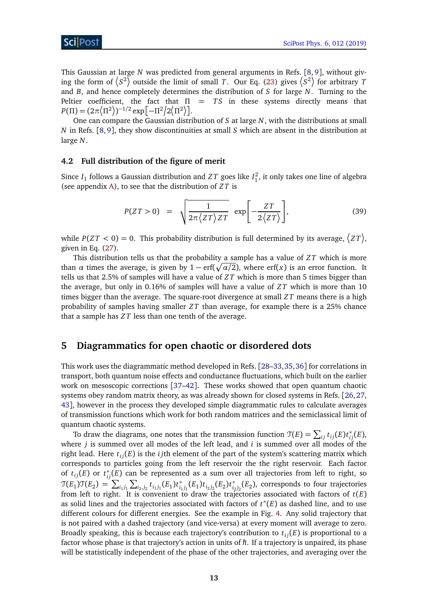This Gaussian at large *N* was predicted from general arguments in Refs. [[8,](#page-20-6) [9](#page-20-8)], without giving the form of  $\langle S^2 \rangle$  outside the limit of small *T*. Our Eq. [\(23\)](#page-8-1) gives  $\langle S^2 \rangle$  for arbitrary *T* and *B*, and hence completely determines the distribution of *S* for large *N*. Turning to the Peltier coefficient, the fact that  $\Pi = TS$  in these systems directly means that  $P(\Pi) = (2\pi \langle \Pi^2 \rangle)^{-1/2} \exp[-\Pi^2/2 \langle \Pi^2 \rangle].$ 

One can compare the Gaussian distribution of *S* at large *N*, with the distributions at small *N* in Refs. [[8,](#page-20-6) [9](#page-20-8)], they show discontinuities at small *S* which are absent in the distribution at large *N*.

#### <span id="page-12-0"></span>**4.2 Full distribution of the figure of merit**

Since  $I_1$  follows a Gaussian distribution and  $ZT$  goes like  $I_1^2$ , it only takes one line of algebra (see appendix [A\)](#page-19-0), to see that the distribution of *Z T* is

$$
P(ZT > 0) = \sqrt{\frac{1}{2\pi \langle ZT \rangle ZT}} \exp \left[ -\frac{ZT}{2\langle ZT \rangle} \right],
$$
 (39)

while  $P(ZT < 0) = 0.$  This probability distribution is full determined by its average,  $\big\langle ZT \big\rangle$ , given in Eq. [\(27\)](#page-9-1).

This distribution tells us that the probability a sample has a value of *Z T* which is more than  $\alpha$  times the average, is given by  $1 - erf(\sqrt{\alpha/2})$ , where erf(*x*) is an error function. It tells us that 2.5% of samples will have a value of *Z T* which is more than 5 times bigger than the average, but only in 0.16% of samples will have a value of *Z T* which is more than 10 times bigger than the average. The square-root divergence at small *Z T* means there is a high probability of samples having smaller *Z T* than average, for example there is a 25% chance that a sample has *Z T* less than one tenth of the average.

## <span id="page-12-1"></span>**5 Diagrammatics for open chaotic or disordered dots**

This work uses the diagrammatic method developed in Refs. [[28](#page-21-13)[–33,](#page-22-0)[35,](#page-22-2)[36](#page-22-3)] for correlations in transport, both quantum noise effects and conductance fluctuations, which built on the earlier work on mesoscopic corrections [[37](#page-22-4)[–42](#page-22-5)]. These works showed that open quantum chaotic systems obey random matrix theory, as was already shown for closed systems in Refs. [[26,](#page-21-12)[27,](#page-21-14) [43](#page-22-6)], however in the process they developed simple diagrammatic rules to calculate averages of transmission functions which work for both random matrices and the semiclassical limit of quantum chaotic systems.

To draw the diagrams, one notes that the transmission function  $\mathcal{T}(E) = \sum_{ij} t_{ij}(E) t_{ij}^*(E)$ , where *j* is summed over all modes of the left lead, and *i* is summed over all modes of the right lead. Here  $t_{ij}(E)$  is the *i* jth element of the part of the system's scattering matrix which corresponds to particles going from the left reservoir the the right reservoir. Each factor of  $t_{ij}(E)$  or  $t_{ij}^*(E)$  can be represented as a sum over all trajectories from left to right, so  $\mathfrak{T}(E_1)\mathfrak{T}(E_2) = \sum_{i_1,i_1} \sum_{i_2,i_2} t_{i_1j_1}(E_1)t_i^*$  $i_{1}j_{1}$ <sup>(</sup>*E*<sub>1</sub>)*t***<sub>***i***<sub>2</sub></sub><sub>***j***<sub>2</sub></sub>(***E***<sub>2</sub>)***t***<sup>\*</sup><sub>***i***<sub>2</sub></sub>**  $i_{2j_2}(E_2)$ , corresponds to four trajectories from left to right. It is convenient to draw the trajectories associated with factors of *t*(*E*) as solid lines and the trajectories associated with factors of *t* ∗ (*E*) as dashed line, and to use different colours for different energies. See the example in Fig. [4.](#page-13-0) Any solid trajectory that is not paired with a dashed trajectory (and vice-versa) at every moment will average to zero. Broadly speaking, this is because each trajectory's contribution to  $t_{ij}(E)$  is proportional to a factor whose phase is that trajectory's action in units of ħ*h*. If a trajectory is unpaired, its phase will be statistically independent of the phase of the other trajectories, and averaging over the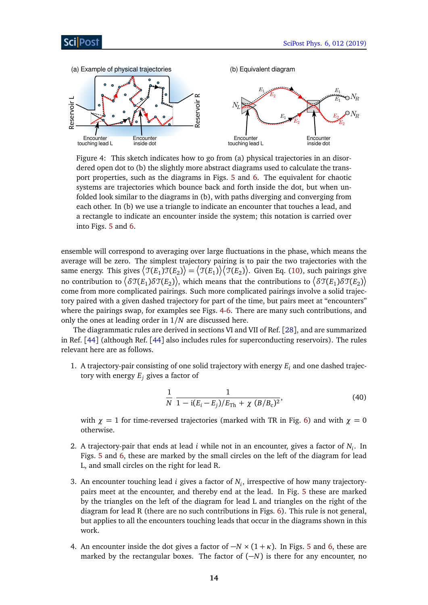<span id="page-13-0"></span>

Figure 4: This sketch indicates how to go from (a) physical trajectories in an disordered open dot to (b) the slightly more abstract diagrams used to calculate the transport properties, such as the diagrams in Figs. [5](#page-14-1) and [6.](#page-15-1) The equivalent for chaotic systems are trajectories which bounce back and forth inside the dot, but when unfolded look similar to the diagrams in (b), with paths diverging and converging from each other. In (b) we use a triangle to indicate an encounter that touches a lead, and a rectangle to indicate an encounter inside the system; this notation is carried over into Figs. [5](#page-14-1) and [6.](#page-15-1)

ensemble will correspond to averaging over large fluctuations in the phase, which means the average will be zero. The simplest trajectory pairing is to pair the two trajectories with the same energy. This gives  $\big\langle\mathfrak{T}(E_1)\mathfrak{T}(E_2)\big\rangle=\big\langle\mathfrak{T}(E_1)\big\rangle\big\langle\mathfrak{T}(E_2)\big\rangle.$  Given Eq. [\(10\)](#page-6-3), such pairings give no contribution to  $\big<\delta\mathfrak{T}(E_1)\delta\mathfrak{T}(E_2)\big>$ , which means that the contributions to  $\big<\delta\mathfrak{T}(E_1)\delta\mathfrak{T}(E_2)\big>$ come from more complicated pairings. Such more complicated pairings involve a solid trajectory paired with a given dashed trajectory for part of the time, but pairs meet at "encounters" where the pairings swap, for examples see Figs. [4-](#page-13-0)[6.](#page-15-1) There are many such contributions, and only the ones at leading order in 1*/N* are discussed here.

The diagrammatic rules are derived in sections VI and VII of Ref. [[28](#page-21-13)], and are summarized in Ref. [[44](#page-22-7)] (although Ref. [[44](#page-22-7)] also includes rules for superconducting reservoirs). The rules relevant here are as follows.

1. A trajectory-pair consisting of one solid trajectory with energy *E<sup>i</sup>* and one dashed trajectory with energy  $E_i$  gives a factor of

$$
\frac{1}{N} \frac{1}{1 - i(E_i - E_j)/E_{\text{Th}} + \chi(B/B_c)^2},\tag{40}
$$

with  $\chi = 1$  for time-reversed trajectories (marked with TR in Fig. [6\)](#page-15-1) and with  $\chi = 0$ otherwise.

- 2. A trajectory-pair that ends at lead *i* while not in an encounter, gives a factor of *N<sup>i</sup>* . In Figs. [5](#page-14-1) and [6,](#page-15-1) these are marked by the small circles on the left of the diagram for lead L, and small circles on the right for lead R.
- 3. An encounter touching lead *i* gives a factor of *N<sup>i</sup>* , irrespective of how many trajectorypairs meet at the encounter, and thereby end at the lead. In Fig. [5](#page-14-1) these are marked by the triangles on the left of the diagram for lead L and triangles on the right of the diagram for lead R (there are no such contributions in Figs. [6\)](#page-15-1). This rule is not general, but applies to all the encounters touching leads that occur in the diagrams shown in this work.
- 4. An encounter inside the dot gives a factor of −*N* × (1 + *κ*). In Figs. [5](#page-14-1) and [6,](#page-15-1) these are marked by the rectangular boxes. The factor of (−*N*) is there for any encounter, no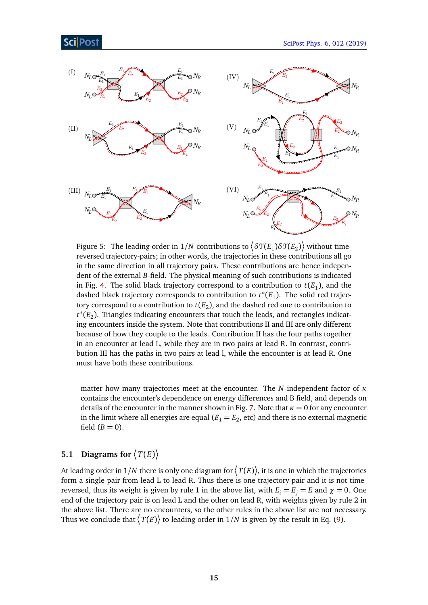# **Post**

<span id="page-14-1"></span>

Figure 5: The leading order in  $1/N$  contributions to  $\big<\delta\mathfrak{T}(E_1)\delta\mathfrak{T}(E_2)\big>$  without timereversed trajectory-pairs; in other words, the trajectories in these contributions all go in the same direction in all trajectory pairs. These contributions are hence independent of the external *B*-field. The physical meaning of such contributions is indicated in Fig. [4.](#page-13-0) The solid black trajectory correspond to a contribution to  $t(E_1)$ , and the dashed black trajectory corresponds to contribution to  $t^*(E_1)$ . The solid red trajectory correspond to a contribution to  $t(E_2)$ , and the dashed red one to contribution to *t*<sup>∗</sup>(*E*<sub>2</sub>). Triangles indicating encounters that touch the leads, and rectangles indicating encounters inside the system. Note that contributions II and III are only different because of how they couple to the leads. Contribution II has the four paths together in an encounter at lead L, while they are in two pairs at lead R. In contrast, contribution III has the paths in two pairs at lead l, while the encounter is at lead R. One must have both these contributions.

matter how many trajectories meet at the encounter. The *N*-independent factor of *κ* contains the encounter's dependence on energy differences and B field, and depends on details of the encounter in the manner shown in Fig. [7.](#page-16-0) Note that  $\kappa = 0$  for any encounter in the limit where all energies are equal ( $E_1=E_2$ , etc) and there is no external magnetic field  $(B = 0)$ .

# <span id="page-14-0"></span>**5.1** Diagrams for  $\langle T(E) \rangle$

At leading order in  $1/N$  there is only one diagram for  $\big\langle T(E)\big\rangle$ , it is one in which the trajectories form a single pair from lead L to lead R. Thus there is one trajectory-pair and it is not timereversed, thus its weight is given by rule 1 in the above list, with  $E_i = E_i = E$  and  $\chi = 0$ . One end of the trajectory pair is on lead L and the other on lead R, with weights given by rule 2 in the above list. There are no encounters, so the other rules in the above list are not necessary. Thus we conclude that  $\big\langle T(E)\big\rangle$  to leading order in  $1/N$  is given by the result in Eq. [\(9\)](#page-6-4).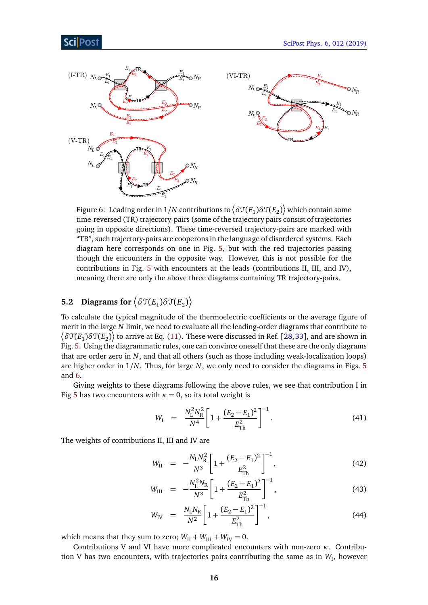## Sci Post

<span id="page-15-1"></span>

Figure 6: Leading order in  $1/N$  contributions to  $\big\langle \delta\mathfrak{T}(E_1)\delta\mathfrak{T}(E_2) \big\rangle$  which contain some time-reversed (TR) trajectory-pairs (some of the trajectory pairs consist of trajectories going in opposite directions). These time-reversed trajectory-pairs are marked with "TR", such trajectory-pairs are cooperons in the language of disordered systems. Each diagram here corresponds on one in Fig. [5,](#page-14-1) but with the red trajectories passing though the encounters in the opposite way. However, this is not possible for the contributions in Fig. [5](#page-14-1) with encounters at the leads (contributions II, III, and IV), meaning there are only the above three diagrams containing TR trajectory-pairs.

# <span id="page-15-0"></span>**5.2 Diagrams for**  $\left\langle \delta \mathcal{T}(E_1) \delta \mathcal{T}(E_2) \right\rangle$

To calculate the typical magnitude of the thermoelectric coefficients or the average figure of merit in the large *N* limit, we need to evaluate all the leading-order diagrams that contribute to  $\big<\delta\mathfrak{T}(E_1)\delta\mathfrak{T}(E_2)\big>$  to arrive at Eq. [\(11\)](#page-6-0). These were discussed in Ref. [[28,](#page-21-13)[33](#page-22-0)], and are shown in Fig. [5.](#page-14-1) Using the diagrammatic rules, one can convince oneself that these are the only diagrams that are order zero in *N*, and that all others (such as those including weak-localization loops) are higher order in 1*/N*. Thus, for large *N*, we only need to consider the diagrams in Figs. [5](#page-14-1) and [6.](#page-15-1)

Giving weights to these diagrams following the above rules, we see that contribution I in Fig [5](#page-14-1) has two encounters with  $\kappa = 0$ , so its total weight is

$$
W_{\rm I} = \frac{N_{\rm L}^2 N_{\rm R}^2}{N^4} \left[ 1 + \frac{(E_2 - E_1)^2}{E_{\rm Th}^2} \right]^{-1} . \tag{41}
$$

The weights of contributions II, III and IV are

$$
W_{\rm II} = -\frac{N_{\rm L}N_{\rm R}^2}{N^3} \left[ 1 + \frac{(E_2 - E_1)^2}{E_{\rm Th}^2} \right]^{-1},\tag{42}
$$

$$
W_{\text{III}} = -\frac{N_{\text{L}}^2 N_{\text{R}}}{N^3} \left[ 1 + \frac{(E_2 - E_1)^2}{E_{\text{Th}}^2} \right]^{-1},\tag{43}
$$

$$
W_{\text{IV}} = \frac{N_{\text{L}}N_{\text{R}}}{N^2} \left[ 1 + \frac{(E_2 - E_1)^2}{E_{\text{Th}}^2} \right]^{-1},\tag{44}
$$

which means that they sum to zero;  $W_{\text{II}} + W_{\text{III}} + W_{\text{IV}} = 0$ .

Contributions V and VI have more complicated encounters with non-zero *κ*. Contribution V has two encounters, with trajectories pairs contributing the same as in  $W_{\text{I}}$ , however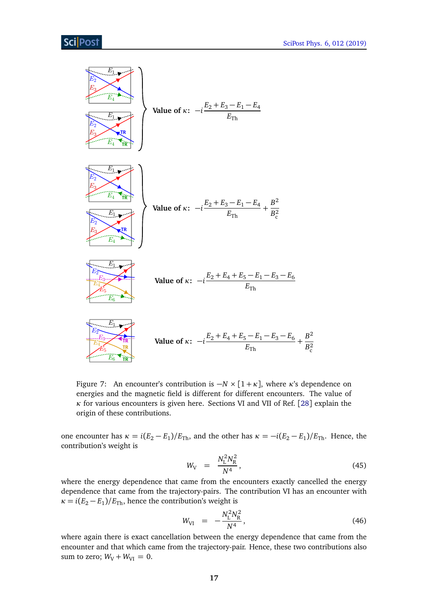<span id="page-16-0"></span>

Figure 7: An encounter's contribution is  $-N \times [1 + \kappa]$ , where *κ*'s dependence on energies and the magnetic field is different for different encounters. The value of *κ* for various encounters is given here. Sections VI and VII of Ref. [[28](#page-21-13)] explain the origin of these contributions.

one encounter has  $\kappa = i(E_2 - E_1)/E_{\text{Th}}$ , and the other has  $\kappa = -i(E_2 - E_1)/E_{\text{Th}}$ . Hence, the contribution's weight is

$$
W_{\rm V} = \frac{N_{\rm L}^2 N_{\rm R}^2}{N^4},\tag{45}
$$

where the energy dependence that came from the encounters exactly cancelled the energy dependence that came from the trajectory-pairs. The contribution VI has an encounter with  $\kappa = i(E_2 - E_1)/E_{\text{Th}}$ , hence the contribution's weight is

$$
W_{\text{VI}} = -\frac{N_{\text{L}}^2 N_{\text{R}}^2}{N^4},\tag{46}
$$

where again there is exact cancellation between the energy dependence that came from the encounter and that which came from the trajectory-pair. Hence, these two contributions also sum to zero;  $W_V + W_{VI} = 0$ .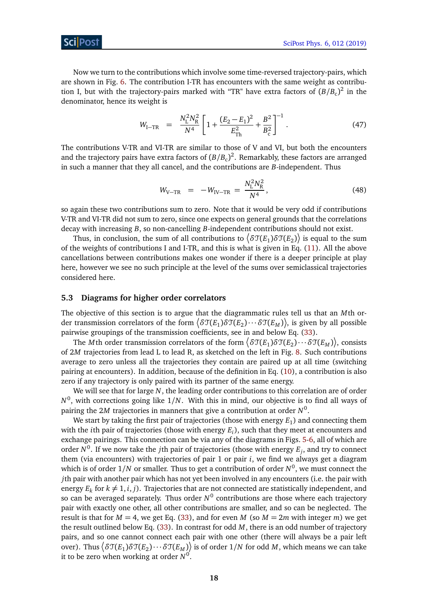Now we turn to the contributions which involve some time-reversed trajectory-pairs, which are shown in Fig. [6.](#page-15-1) The contribution I-TR has encounters with the same weight as contribution I, but with the trajectory-pairs marked with "TR" have extra factors of  $(B/B_c)^2$  in the denominator, hence its weight is

$$
W_{\text{I-TR}} = \frac{N_{\text{L}}^2 N_{\text{R}}^2}{N^4} \left[ 1 + \frac{(E_2 - E_1)^2}{E_{\text{Th}}^2} + \frac{B^2}{B_{\text{c}}^2} \right]^{-1} . \tag{47}
$$

The contributions V-TR and VI-TR are similar to those of V and VI, but both the encounters and the trajectory pairs have extra factors of  $(B/B_c)^2$ . Remarkably, these factors are arranged in such a manner that they all cancel, and the contributions are *B*-independent. Thus

$$
W_{V-TR} = -W_{IV-TR} = \frac{N_{L}^{2} N_{R}^{2}}{N^{4}}, \qquad (48)
$$

so again these two contributions sum to zero. Note that it would be very odd if contributions V-TR and VI-TR did not sum to zero, since one expects on general grounds that the correlations decay with increasing *B*, so non-cancelling *B*-independent contributions should not exist.

Thus, in conclusion, the sum of all contributions to  $\big<\delta\mathfrak{T}(E_1)\delta\mathfrak{T}(E_2)\big>$  is equal to the sum of the weights of contributions I and I-TR, and this is what is given in Eq. [\(11\)](#page-6-0). All the above cancellations between contributions makes one wonder if there is a deeper principle at play here, however we see no such principle at the level of the sums over semiclassical trajectories considered here.

#### <span id="page-17-0"></span>**5.3 Diagrams for higher order correlators**

The objective of this section is to argue that the diagrammatic rules tell us that an *M*th order transmission correlators of the form  $\big<\delta\mathfrak{T}(E_1)\delta\mathfrak{T}(E_2)\cdots\delta\mathfrak{T}(E_M)\big>$ , is given by all possible pairwise groupings of the transmission coefficients, see in and below Eq. [\(33\)](#page-11-4).

The  $M$ th order transmission correlators of the form  $\big<\delta\mathfrak{T}(E_1)\delta\mathfrak{T}(E_2)\cdots\delta\mathfrak{T}(E_M)\big>$ , consists of 2*M* trajectories from lead L to lead R, as sketched on the left in Fig. [8.](#page-18-1) Such contributions average to zero unless all the trajectories they contain are paired up at all time (switching pairing at encounters). In addition, because of the definition in Eq. [\(10\)](#page-6-3), a contribution is also zero if any trajectory is only paired with its partner of the same energy.

We will see that for large *N*, the leading order contributions to this correlation are of order *N* 0 , with corrections going like 1*/N*. With this in mind, our objective is to find all ways of pairing the 2*M* trajectories in manners that give a contribution at order *N* 0 .

We start by taking the first pair of trajectories (those with energy  $E_1$ ) and connecting them with the *i*th pair of trajectories (those with energy *E<sup>i</sup>* ), such that they meet at encounters and exchange pairings. This connection can be via any of the diagrams in Figs. [5](#page-14-1)[-6,](#page-15-1) all of which are order *N* 0 . If we now take the *j*th pair of trajectories (those with energy *E<sup>j</sup>* , and try to connect them (via encounters) with trajectories of pair 1 or pair *i*, we find we always get a diagram which is of order 1*/N* or smaller. Thus to get a contribution of order *N* 0 , we must connect the *j*th pair with another pair which has not yet been involved in any encounters (i.e. the pair with energy  $E_k$  for  $k \neq 1, i, j$ ). Trajectories that are not connected are statistically independent, and so can be averaged separately. Thus order  $N^0$  contributions are those where each trajectory pair with exactly one other, all other contributions are smaller, and so can be neglected. The result is that for  $M = 4$ , we get Eq. [\(33\)](#page-11-4), and for even M (so  $M = 2m$  with integer *m*) we get the result outlined below Eq. [\(33\)](#page-11-4). In contrast for odd *M*, there is an odd number of trajectory pairs, and so one cannot connect each pair with one other (there will always be a pair left over). Thus  $\big<\delta\mathfrak{T}(E_1)\delta\mathfrak{T}(E_2)\cdots\delta\mathfrak{T}(E_M)\big>$  is of order  $1/N$  for odd  $M$ , which means we can take it to be zero when working at order  $N^0$ .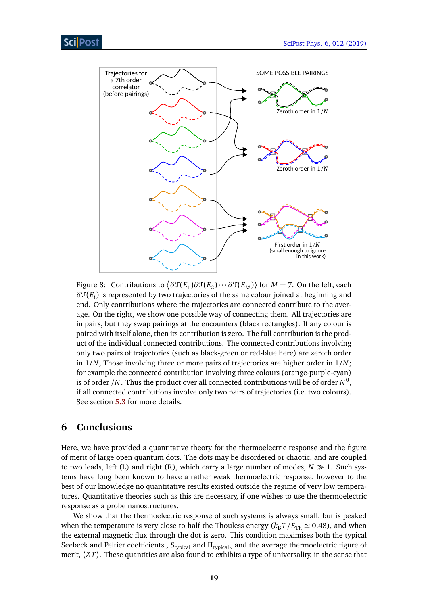<span id="page-18-1"></span>

Figure 8: Contributions to  $\left< \delta\mathfrak{T}(E_1)\delta\mathfrak{T}(E_2)\cdots\delta\mathfrak{T}(E_M) \right>$  for  $M=7.$  On the left, each *δ*T(*E<sup>i</sup>* ) is represented by two trajectories of the same colour joined at beginning and end. Only contributions where the trajectories are connected contribute to the average. On the right, we show one possible way of connecting them. All trajectories are in pairs, but they swap pairings at the encounters (black rectangles). If any colour is paired with itself alone, then its contribution is zero. The full contribution is the product of the individual connected contributions. The connected contributions involving only two pairs of trajectories (such as black-green or red-blue here) are zeroth order in 1*/N*, Those involving three or more pairs of trajectories are higher order in 1*/N*; for example the connected contribution involving three colours (orange-purple-cyan) is of order /N  $\,$  Thus the product over all connected contributions will be of order  $N^0,$ if all connected contributions involve only two pairs of trajectories (i.e. two colours). See section [5.3](#page-17-0) for more details.

# <span id="page-18-0"></span>**6 Conclusions**

Here, we have provided a quantitative theory for the thermoelectric response and the figure of merit of large open quantum dots. The dots may be disordered or chaotic, and are coupled to two leads, left (L) and right (R), which carry a large number of modes,  $N \gg 1$ . Such systems have long been known to have a rather weak thermoelectric response, however to the best of our knowledge no quantitative results existed outside the regime of very low temperatures. Quantitative theories such as this are necessary, if one wishes to use the thermoelectric response as a probe nanostructures.

We show that the thermoelectric response of such systems is always small, but is peaked when the temperature is very close to half the Thouless energy ( $k_B T / E_{Th} \simeq 0.48$ ), and when the external magnetic flux through the dot is zero. This condition maximises both the typical Seebeck and Peltier coefficients, S<sub>typical</sub> and Π<sub>typical</sub>, and the average thermoelectric figure of merit,  $\langle ZT \rangle$ . These quantities are also found to exhibits a type of universality, in the sense that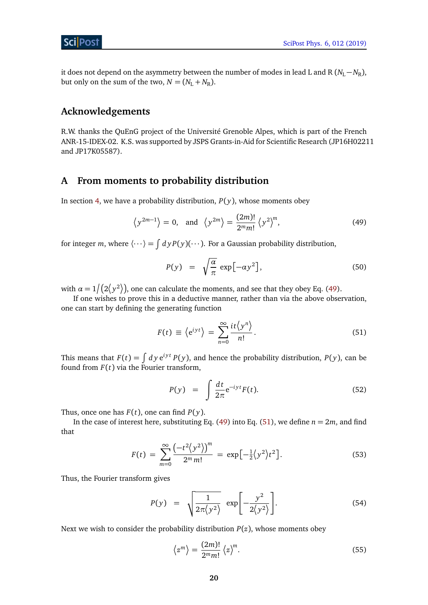it does not depend on the asymmetry between the number of modes in lead L and R ( $N_L - N_R$ ), but only on the sum of the two,  $N = (N_L + N_R)$ .

# **Acknowledgements**

R.W. thanks the QuEnG project of the Université Grenoble Alpes, which is part of the French ANR-15-IDEX-02. K.S. was supported by JSPS Grants-in-Aid for Scientific Research (JP16H02211 and JP17K05587).

## <span id="page-19-0"></span>**A From moments to probability distribution**

In section [4,](#page-10-1) we have a probability distribution,  $P(y)$ , whose moments obey

<span id="page-19-1"></span>
$$
\left\langle y^{2m-1} \right\rangle = 0, \quad \text{and} \quad \left\langle y^{2m} \right\rangle = \frac{(2m)!}{2^m m!} \left\langle y^2 \right\rangle^m, \tag{49}
$$

for integer *m*, where  $\langle \cdots \rangle = \int dy P(y)(\cdots)$ . For a Gaussian probability distribution,

$$
P(y) = \sqrt{\frac{\alpha}{\pi}} \exp[-\alpha y^2], \qquad (50)
$$

with  $\alpha = 1 \big/ \big( 2 \big/ y^2 \big> \big)$ , one can calculate the moments, and see that they obey Eq. [\(49\)](#page-19-1).

If one wishes to prove this in a deductive manner, rather than via the above observation, one can start by defining the generating function

<span id="page-19-2"></span>
$$
F(t) \equiv \langle e^{iyt} \rangle = \sum_{n=0}^{\infty} \frac{it \langle y^n \rangle}{n!}.
$$
 (51)

This means that  $F(t) = \int dy e^{iyt} P(y)$ , and hence the probability distribution,  $P(y)$ , can be found from  $F(t)$  via the Fourier transform,

$$
P(y) = \int \frac{dt}{2\pi} e^{-iyt} F(t).
$$
 (52)

Thus, once one has  $F(t)$ , one can find  $P(y)$ .

In the case of interest here, substituting Eq. [\(49\)](#page-19-1) into Eq. [\(51\)](#page-19-2), we define  $n = 2m$ , and find that

$$
F(t) = \sum_{m=0}^{\infty} \frac{\left(-t^2 \langle y^2 \rangle\right)^m}{2^m m!} = \exp\left[-\frac{1}{2} \langle y^2 \rangle t^2\right].
$$
 (53)

Thus, the Fourier transform gives

<span id="page-19-3"></span>
$$
P(y) = \sqrt{\frac{1}{2\pi \langle y^2 \rangle}} \exp \left[ -\frac{y^2}{2 \langle y^2 \rangle} \right].
$$
 (54)

Next we wish to consider the probability distribution  $P(z)$ , whose moments obey

$$
\langle z^m \rangle = \frac{(2m)!}{2^m m!} \langle z \rangle^m. \tag{55}
$$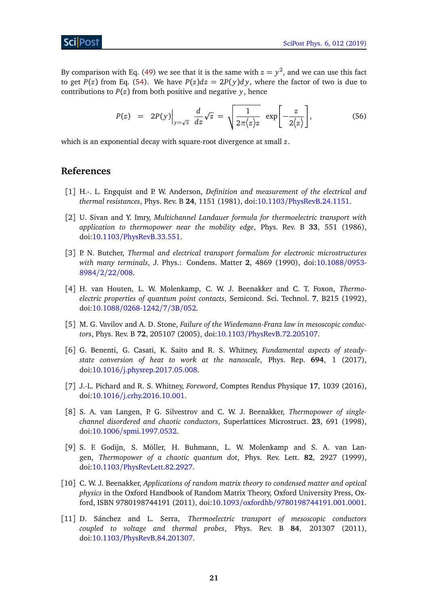ScilPos<sup>.</sup>

By comparison with Eq. [\(49\)](#page-19-1) we see that it is the same with  $z = y^2$ , and we can use this fact to get *P*(*z*) from Eq. [\(54\)](#page-19-3). We have *P*(*z*)*dz* = 2*P*(*y*)*dy*, where the factor of two is due to contributions to  $P(z)$  from both positive and negative *y*, hence

<span id="page-20-0"></span>
$$
P(z) = 2P(y)\Big|_{y=\sqrt{z}} \frac{d}{dz}\sqrt{z} = \sqrt{\frac{1}{2\pi\langle z\rangle z}} \exp\left[-\frac{z}{2\langle z\rangle}\right],
$$
 (56)

which is an exponential decay with square-root divergence at small *z*.

# **References**

- <span id="page-20-1"></span>[1] H.-. L. Engquist and P. W. Anderson, *Definition and measurement of the electrical and thermal resistances*, Phys. Rev. B **24**, 1151 (1981), doi:10.1103/[PhysRevB.24.1151.](http://dx.doi.org/10.1103/PhysRevB.24.1151)
- [2] U. Sivan and Y. Imry, *Multichannel Landauer formula for thermoelectric transport with application to thermopower near the mobility edge*, Phys. Rev. B **33**, 551 (1986), doi:10.1103/[PhysRevB.33.551.](http://dx.doi.org/10.1103/PhysRevB.33.551)
- <span id="page-20-5"></span>[3] P. N. Butcher, *Thermal and electrical transport formalism for electronic microstructures with many terminals*, J. Phys.: Condens. Matter **2**, 4869 (1990), doi[:10.1088](http://dx.doi.org/10.1088/0953-8984/2/22/008)/0953- [8984](http://dx.doi.org/10.1088/0953-8984/2/22/008)/2/22/008.
- [4] H. van Houten, L. W. Molenkamp, C. W. J. Beenakker and C. T. Foxon, *Thermoelectric properties of quantum point contacts*, Semicond. Sci. Technol. **7**, B215 (1992), doi:10.1088/[0268-1242](http://dx.doi.org/10.1088/0268-1242/7/3B/052)/7/3B/052.
- <span id="page-20-2"></span>[5] M. G. Vavilov and A. D. Stone, *Failure of the Wiedemann-Franz law in mesoscopic conductors*, Phys. Rev. B **72**, 205107 (2005), doi:10.1103/[PhysRevB.72.205107.](http://dx.doi.org/10.1103/PhysRevB.72.205107)
- <span id="page-20-3"></span>[6] G. Benenti, G. Casati, K. Saito and R. S. Whitney, *Fundamental aspects of steadystate conversion of heat to work at the nanoscale*, Phys. Rep. **694**, 1 (2017), doi:10.1016/[j.physrep.2017.05.008.](http://dx.doi.org/10.1016/j.physrep.2017.05.008)
- <span id="page-20-4"></span>[7] J.-L. Pichard and R. S. Whitney, *Foreword*, Comptes Rendus Physique **17**, 1039 (2016), doi:10.1016/[j.crhy.2016.10.001.](http://dx.doi.org/10.1016/j.crhy.2016.10.001)
- <span id="page-20-6"></span>[8] S. A. van Langen, P. G. Silvestrov and C. W. J. Beenakker, *Thermopower of singlechannel disordered and chaotic conductors*, Superlattices Microstruct. **23**, 691 (1998), doi:10.1006/[spmi.1997.0532.](http://dx.doi.org/10.1006/spmi.1997.0532)
- <span id="page-20-8"></span>[9] S. F. Godijn, S. Möller, H. Buhmann, L. W. Molenkamp and S. A. van Langen, *Thermopower of a chaotic quantum dot*, Phys. Rev. Lett. **82**, 2927 (1999), doi:10.1103/[PhysRevLett.82.2927.](http://dx.doi.org/10.1103/PhysRevLett.82.2927)
- <span id="page-20-9"></span>[10] C. W. J. Beenakker, *Applications of random matrix theory to condensed matter and optical physics* in the Oxford Handbook of Random Matrix Theory, Oxford University Press, Oxford, ISBN 9780198744191 (2011), doi:10.1093/oxfordhb/[9780198744191.001.0001.](http://dx.doi.org/10.1093/oxfordhb/9780198744191.001.0001)
- <span id="page-20-7"></span>[11] D. Sánchez and L. Serra, *Thermoelectric transport of mesoscopic conductors coupled to voltage and thermal probes*, Phys. Rev. B **84**, 201307 (2011), doi:10.1103/[PhysRevB.84.201307.](http://dx.doi.org/10.1103/PhysRevB.84.201307)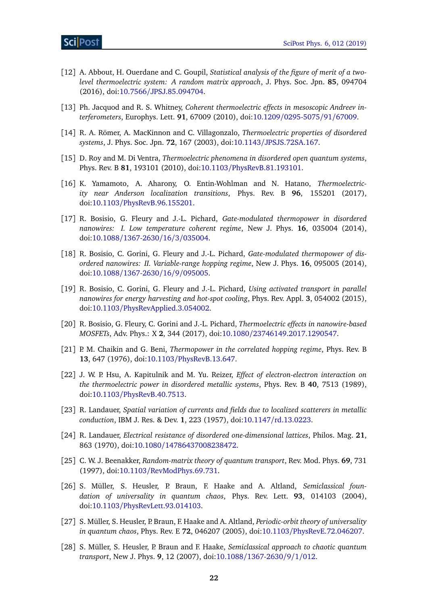- <span id="page-21-0"></span>[12] A. Abbout, H. Ouerdane and C. Goupil, *Statistical analysis of the figure of merit of a twolevel thermoelectric system: A random matrix approach*, J. Phys. Soc. Jpn. **85**, 094704 (2016), doi:10.7566/[JPSJ.85.094704.](http://dx.doi.org/10.7566/JPSJ.85.094704)
- <span id="page-21-1"></span>[13] Ph. Jacquod and R. S. Whitney, *Coherent thermoelectric effects in mesoscopic Andreev interferometers*, Europhys. Lett. **91**, 67009 (2010), doi:10.1209/[0295-5075](http://dx.doi.org/10.1209/0295-5075/91/67009)/91/67009.
- <span id="page-21-2"></span>[14] R. A. Römer, A. MacKinnon and C. Villagonzalo, *Thermoelectric properties of disordered systems*, J. Phys. Soc. Jpn. **72**, 167 (2003), doi:10.1143/[JPSJS.72SA.167.](http://dx.doi.org/10.1143/JPSJS.72SA.167)
- <span id="page-21-4"></span>[15] D. Roy and M. Di Ventra, *Thermoelectric phenomena in disordered open quantum systems*, Phys. Rev. B **81**, 193101 (2010), doi:10.1103/[PhysRevB.81.193101.](http://dx.doi.org/10.1103/PhysRevB.81.193101)
- <span id="page-21-3"></span>[16] K. Yamamoto, A. Aharony, O. Entin-Wohlman and N. Hatano, *Thermoelectricity near Anderson localization transitions*, Phys. Rev. B **96**, 155201 (2017), doi:10.1103/[PhysRevB.96.155201.](http://dx.doi.org/10.1103/PhysRevB.96.155201)
- <span id="page-21-5"></span>[17] R. Bosisio, G. Fleury and J.-L. Pichard, *Gate-modulated thermopower in disordered nanowires: I. Low temperature coherent regime*, New J. Phys. **16**, 035004 (2014), doi:10.1088/[1367-2630](http://dx.doi.org/10.1088/1367-2630/16/3/035004)/16/3/035004.
- [18] R. Bosisio, C. Gorini, G. Fleury and J.-L. Pichard, *Gate-modulated thermopower of disordered nanowires: II. Variable-range hopping regime*, New J. Phys. **16**, 095005 (2014), doi:10.1088/[1367-2630](http://dx.doi.org/10.1088/1367-2630/16/9/095005)/16/9/095005.
- [19] R. Bosisio, C. Gorini, G. Fleury and J.-L. Pichard, *Using activated transport in parallel nanowires for energy harvesting and hot-spot cooling*, Phys. Rev. Appl. **3**, 054002 (2015), doi:10.1103/[PhysRevApplied.3.054002.](http://dx.doi.org/10.1103/PhysRevApplied.3.054002)
- <span id="page-21-6"></span>[20] R. Bosisio, G. Fleury, C. Gorini and J.-L. Pichard, *Thermoelectric effects in nanowire-based MOSFETs*, Adv. Phys.: X **2**, 344 (2017), doi:10.1080/[23746149.2017.1290547.](http://dx.doi.org/10.1080/23746149.2017.1290547)
- <span id="page-21-7"></span>[21] P. M. Chaikin and G. Beni, *Thermopower in the correlated hopping regime*, Phys. Rev. B **13**, 647 (1976), doi:10.1103/[PhysRevB.13.647.](http://dx.doi.org/10.1103/PhysRevB.13.647)
- <span id="page-21-8"></span>[22] J. W. P. Hsu, A. Kapitulnik and M. Yu. Reizer, *Effect of electron-electron interaction on the thermoelectric power in disordered metallic systems*, Phys. Rev. B **40**, 7513 (1989), doi:10.1103/[PhysRevB.40.7513.](http://dx.doi.org/10.1103/PhysRevB.40.7513)
- <span id="page-21-9"></span>[23] R. Landauer, *Spatial variation of currents and fields due to localized scatterers in metallic conduction*, IBM J. Res. & Dev. **1**, 223 (1957), doi:10.1147/[rd.13.0223.](http://dx.doi.org/10.1147/rd.13.0223)
- <span id="page-21-10"></span>[24] R. Landauer, *Electrical resistance of disordered one-dimensional lattices*, Philos. Mag. **21**, 863 (1970), doi:10.1080/[14786437008238472.](http://dx.doi.org/10.1080/14786437008238472)
- <span id="page-21-11"></span>[25] C. W. J. Beenakker, *Random-matrix theory of quantum transport*, Rev. Mod. Phys. **69**, 731 (1997), doi:10.1103/[RevModPhys.69.731.](http://dx.doi.org/10.1103/RevModPhys.69.731)
- <span id="page-21-12"></span>[26] S. Müller, S. Heusler, P. Braun, F. Haake and A. Altland, *Semiclassical foundation of universality in quantum chaos*, Phys. Rev. Lett. **93**, 014103 (2004), doi:10.1103/[PhysRevLett.93.014103.](http://dx.doi.org/10.1103/PhysRevLett.93.014103)
- <span id="page-21-14"></span>[27] S. Müller, S. Heusler, P. Braun, F. Haake and A. Altland, *Periodic-orbit theory of universality in quantum chaos*, Phys. Rev. E **72**, 046207 (2005), doi:10.1103/[PhysRevE.72.046207.](http://dx.doi.org/10.1103/PhysRevE.72.046207)
- <span id="page-21-13"></span>[28] S. Müller, S. Heusler, P. Braun and F. Haake, *Semiclassical approach to chaotic quantum transport*, New J. Phys. **9**, 12 (2007), doi:10.1088/[1367-2630](http://dx.doi.org/10.1088/1367-2630/9/1/012)/9/1/012.